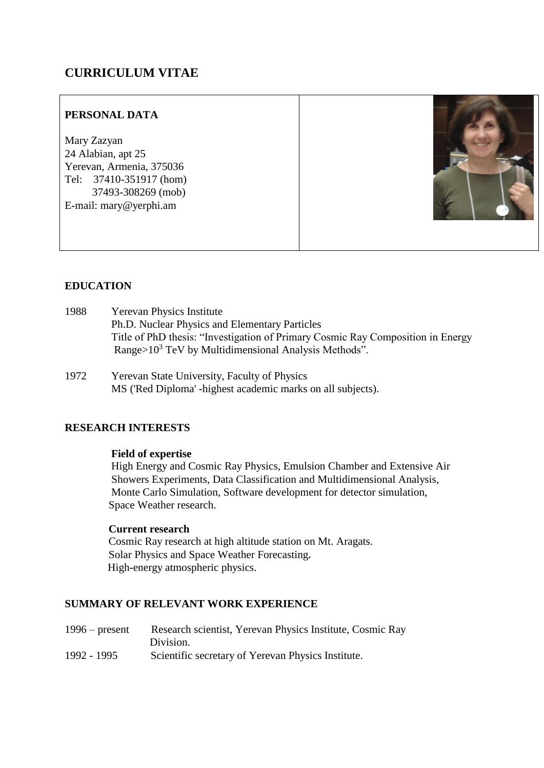# **CURRICULUM VITAE**

# **PERSONAL DATA**

Mary Zazyan 24 Alabian, apt 25 Yerevan, Armenia, 375036 Tel: 37410-351917 (hom) 37493-308269 (mob) E-mail: mary@yerphi.am



# **EDUCATION**

- 1988 Yerevan Physics Institute Ph.D. Nuclear Physics and Elementary Particles Title of PhD thesis: "Investigation of Primary Cosmic Ray Composition in Energy Range>10<sup>3</sup> TeV by Multidimensional Analysis Methods".
- 1972 Yerevan State University, Faculty of Physics MS ('Red Diploma' -highest academic marks on all subjects).

# **RESEARCH INTERESTS**

# **Field of expertise**

 High Energy and Cosmic Ray Physics, Emulsion Chamber and Extensive Air Showers Experiments, Data Classification and Multidimensional Analysis, Monte Carlo Simulation, Software development for detector simulation, Space Weather research.

### **Current research**

Cosmic Ray research at high altitude station on Mt. Aragats. Solar Physics and Space Weather Forecasting**.** High-energy atmospheric physics.

### **SUMMARY OF RELEVANT WORK EXPERIENCE**

1996 – present Research scientist, Yerevan Physics Institute, Cosmic Ray Division. 1992 - 1995 Scientific secretary of Yerevan Physics Institute.